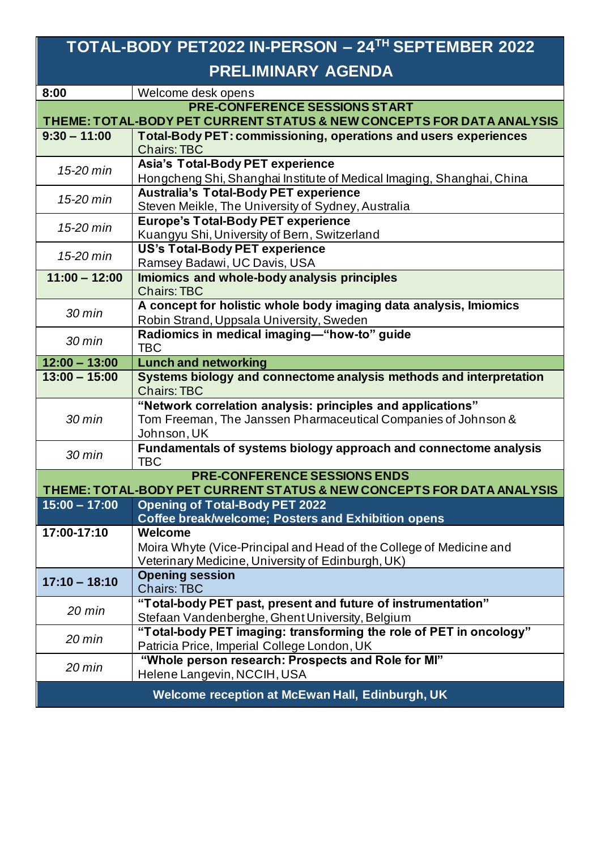## **TOTAL-BODY PET2022 IN-PERSON – 24TH SEPTEMBER 2022 PRELIMINARY AGENDA**

| 8:00                                                                  | Welcome desk opens                                                     |  |
|-----------------------------------------------------------------------|------------------------------------------------------------------------|--|
| <b>PRE-CONFERENCE SESSIONS START</b>                                  |                                                                        |  |
| THEME: TOTAL-BODY PET CURRENT STATUS & NEW CONCEPTS FOR DATA ANALYSIS |                                                                        |  |
| $9:30 - 11:00$                                                        | <b>Total-Body PET: commissioning, operations and users experiences</b> |  |
|                                                                       | <b>Chairs: TBC</b>                                                     |  |
| 15-20 min                                                             | <b>Asia's Total-Body PET experience</b>                                |  |
|                                                                       | Hongcheng Shi, Shanghai Institute of Medical Imaging, Shanghai, China  |  |
| 15-20 min                                                             | <b>Australia's Total-Body PET experience</b>                           |  |
|                                                                       | Steven Meikle, The University of Sydney, Australia                     |  |
| 15-20 min                                                             | <b>Europe's Total-Body PET experience</b>                              |  |
|                                                                       | Kuangyu Shi, University of Bern, Switzerland                           |  |
| 15-20 min                                                             | <b>US's Total-Body PET experience</b>                                  |  |
|                                                                       | Ramsey Badawi, UC Davis, USA                                           |  |
| $11:00 - 12:00$                                                       | Imiomics and whole-body analysis principles                            |  |
|                                                                       | <b>Chairs: TBC</b>                                                     |  |
| $30$ min                                                              | A concept for holistic whole body imaging data analysis, Imiomics      |  |
|                                                                       | Robin Strand, Uppsala University, Sweden                               |  |
| $30 \text{ min}$                                                      | Radiomics in medical imaging-"how-to" guide                            |  |
|                                                                       | <b>TBC</b>                                                             |  |
| $12:00 - 13:00$                                                       | <b>Lunch and networking</b>                                            |  |
| $13:00 - 15:00$                                                       | Systems biology and connectome analysis methods and interpretation     |  |
|                                                                       | <b>Chairs: TBC</b>                                                     |  |
| $30 \text{ min}$                                                      | "Network correlation analysis: principles and applications"            |  |
|                                                                       | Tom Freeman, The Janssen Pharmaceutical Companies of Johnson &         |  |
|                                                                       | Johnson, UK                                                            |  |
| $30$ min                                                              | Fundamentals of systems biology approach and connectome analysis       |  |
|                                                                       | <b>TBC</b>                                                             |  |
| <b>PRE-CONFERENCE SESSIONS ENDS</b>                                   |                                                                        |  |
| THEME: TOTAL-BODY PET CURRENT STATUS & NEW CONCEPTS FOR DATA ANALYSIS |                                                                        |  |
| $15:00 - 17:00$                                                       | <b>Opening of Total-Body PET 2022</b>                                  |  |
| 17:00-17:10                                                           | <b>Coffee break/welcome; Posters and Exhibition opens</b><br>Welcome   |  |
|                                                                       | Moira Whyte (Vice-Principal and Head of the College of Medicine and    |  |
|                                                                       | Veterinary Medicine, University of Edinburgh, UK)                      |  |
|                                                                       | <b>Opening session</b>                                                 |  |
| $17:10 - 18:10$                                                       | <b>Chairs: TBC</b>                                                     |  |
|                                                                       | "Total-body PET past, present and future of instrumentation"           |  |
| $20$ min                                                              | Stefaan Vandenberghe, Ghent University, Belgium                        |  |
|                                                                       | "Total-body PET imaging: transforming the role of PET in oncology"     |  |
| 20 min                                                                | Patricia Price, Imperial College London, UK                            |  |
|                                                                       | "Whole person research: Prospects and Role for MI"                     |  |
| $20$ min                                                              | Helene Langevin, NCCIH, USA                                            |  |
|                                                                       |                                                                        |  |
| Welcome reception at McEwan Hall, Edinburgh, UK                       |                                                                        |  |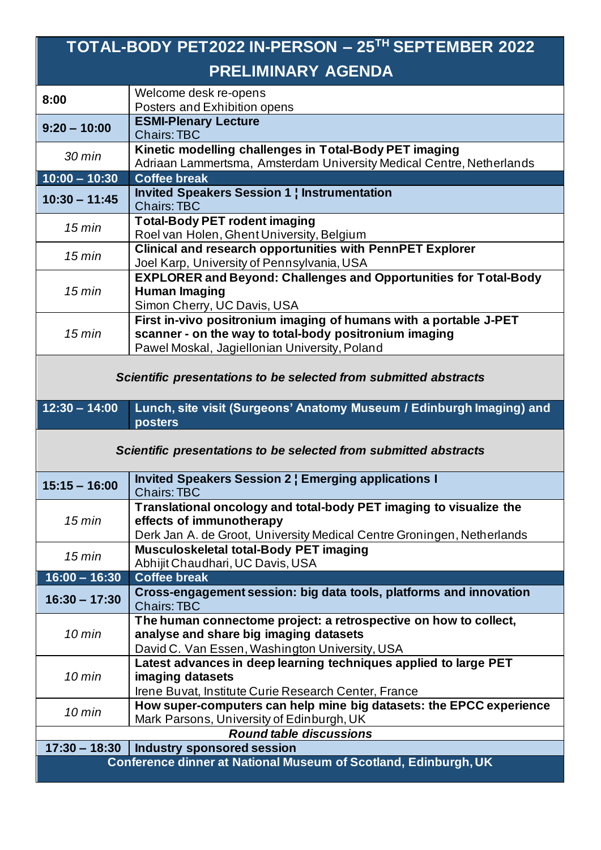| TOTAL-BODY PET2022 IN-PERSON - 25TH SEPTEMBER 2022               |                                                                                                                                |  |
|------------------------------------------------------------------|--------------------------------------------------------------------------------------------------------------------------------|--|
| <b>PRELIMINARY AGENDA</b>                                        |                                                                                                                                |  |
| 8:00                                                             | Welcome desk re-opens                                                                                                          |  |
|                                                                  | Posters and Exhibition opens                                                                                                   |  |
| $9:20 - 10:00$                                                   | <b>ESMI-Plenary Lecture</b><br><b>Chairs: TBC</b>                                                                              |  |
| $30 \text{ min}$                                                 | Kinetic modelling challenges in Total-Body PET imaging<br>Adriaan Lammertsma, Amsterdam University Medical Centre, Netherlands |  |
| $10:00 - 10:30$                                                  | <b>Coffee break</b>                                                                                                            |  |
| $10:30 - 11:45$                                                  | <b>Invited Speakers Session 1   Instrumentation</b>                                                                            |  |
|                                                                  | <b>Chairs: TBC</b>                                                                                                             |  |
| 15 min                                                           | <b>Total-Body PET rodent imaging</b>                                                                                           |  |
|                                                                  | Roel van Holen, Ghent University, Belgium                                                                                      |  |
| 15 min                                                           | <b>Clinical and research opportunities with PennPET Explorer</b>                                                               |  |
|                                                                  | Joel Karp, University of Pennsylvania, USA                                                                                     |  |
|                                                                  | <b>EXPLORER and Beyond: Challenges and Opportunities for Total-Body</b>                                                        |  |
| 15 min                                                           | <b>Human Imaging</b>                                                                                                           |  |
|                                                                  | Simon Cherry, UC Davis, USA                                                                                                    |  |
|                                                                  | First in-vivo positronium imaging of humans with a portable J-PET                                                              |  |
| 15 min                                                           | scanner - on the way to total-body positronium imaging                                                                         |  |
|                                                                  | Pawel Moskal, Jagiellonian University, Poland                                                                                  |  |
| Scientific presentations to be selected from submitted abstracts |                                                                                                                                |  |
|                                                                  |                                                                                                                                |  |
| $12:30 - 14:00$                                                  | Lunch, site visit (Surgeons' Anatomy Museum / Edinburgh Imaging) and                                                           |  |
|                                                                  | posters                                                                                                                        |  |
|                                                                  | Scientific presentations to be selected from submitted abstracts                                                               |  |
| 15:15 - 16:00                                                    | <b>Invited Speakers Session 2   Emerging applications I</b><br><b>Chairs: TBC</b>                                              |  |
|                                                                  | Translational oncology and total-body PET imaging to visualize the                                                             |  |
| 15 min                                                           | effects of immunotherapy                                                                                                       |  |
|                                                                  | Derk Jan A. de Groot, University Medical Centre Groningen, Netherlands                                                         |  |
| 15 min                                                           | Musculoskeletal total-Body PET imaging<br>Abhijit Chaudhari, UC Davis, USA                                                     |  |
| $16:00 - 16:30$                                                  | <b>Coffee break</b>                                                                                                            |  |
|                                                                  | Cross-engagement session: big data tools, platforms and innovation                                                             |  |
| $16:30 - 17:30$                                                  | <b>Chairs: TBC</b>                                                                                                             |  |
|                                                                  | The human connectome project: a retrospective on how to collect,                                                               |  |
| $10$ min                                                         | analyse and share big imaging datasets                                                                                         |  |
|                                                                  | David C. Van Essen, Washington University, USA                                                                                 |  |
|                                                                  | Latest advances in deep learning techniques applied to large PET                                                               |  |
| $10$ min                                                         | imaging datasets                                                                                                               |  |
|                                                                  | Irene Buvat, Institute Curie Research Center, France                                                                           |  |
|                                                                  | How super-computers can help mine big datasets: the EPCC experience                                                            |  |
| $10$ min                                                         | Mark Parsons, University of Edinburgh, UK                                                                                      |  |
|                                                                  | <b>Round table discussions</b>                                                                                                 |  |
| $17:30 - 18:30$                                                  | <b>Industry sponsored session</b><br>Conference dinner at National Museum of Scotland, Edinburgh, UK                           |  |